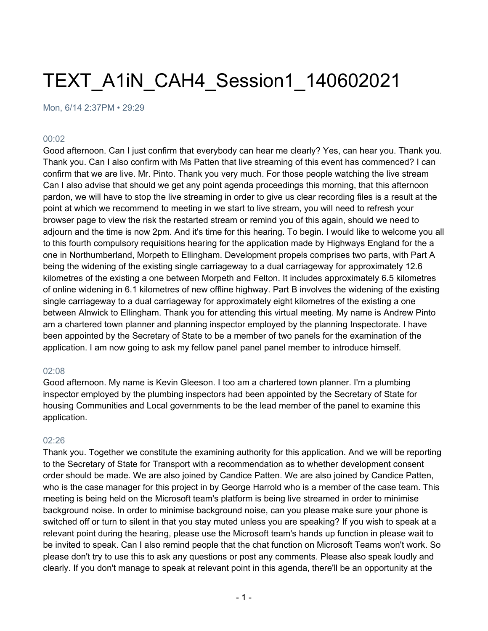# TEXT\_A1iN\_CAH4\_Session1\_140602021

Mon, 6/14 2:37PM • 29:29

#### 00:02

Good afternoon. Can I just confirm that everybody can hear me clearly? Yes, can hear you. Thank you. Thank you. Can I also confirm with Ms Patten that live streaming of this event has commenced? I can confirm that we are live. Mr. Pinto. Thank you very much. For those people watching the live stream Can I also advise that should we get any point agenda proceedings this morning, that this afternoon pardon, we will have to stop the live streaming in order to give us clear recording files is a result at the point at which we recommend to meeting in we start to live stream, you will need to refresh your browser page to view the risk the restarted stream or remind you of this again, should we need to adjourn and the time is now 2pm. And it's time for this hearing. To begin. I would like to welcome you all to this fourth compulsory requisitions hearing for the application made by Highways England for the a one in Northumberland, Morpeth to Ellingham. Development propels comprises two parts, with Part A being the widening of the existing single carriageway to a dual carriageway for approximately 12.6 kilometres of the existing a one between Morpeth and Felton. It includes approximately 6.5 kilometres of online widening in 6.1 kilometres of new offline highway. Part B involves the widening of the existing single carriageway to a dual carriageway for approximately eight kilometres of the existing a one between Alnwick to Ellingham. Thank you for attending this virtual meeting. My name is Andrew Pinto am a chartered town planner and planning inspector employed by the planning Inspectorate. I have been appointed by the Secretary of State to be a member of two panels for the examination of the application. I am now going to ask my fellow panel panel panel member to introduce himself.

#### 02:08

Good afternoon. My name is Kevin Gleeson. I too am a chartered town planner. I'm a plumbing inspector employed by the plumbing inspectors had been appointed by the Secretary of State for housing Communities and Local governments to be the lead member of the panel to examine this application.

#### 02:26

Thank you. Together we constitute the examining authority for this application. And we will be reporting to the Secretary of State for Transport with a recommendation as to whether development consent order should be made. We are also joined by Candice Patten. We are also joined by Candice Patten, who is the case manager for this project in by George Harrold who is a member of the case team. This meeting is being held on the Microsoft team's platform is being live streamed in order to minimise background noise. In order to minimise background noise, can you please make sure your phone is switched off or turn to silent in that you stay muted unless you are speaking? If you wish to speak at a relevant point during the hearing, please use the Microsoft team's hands up function in please wait to be invited to speak. Can I also remind people that the chat function on Microsoft Teams won't work. So please don't try to use this to ask any questions or post any comments. Please also speak loudly and clearly. If you don't manage to speak at relevant point in this agenda, there'll be an opportunity at the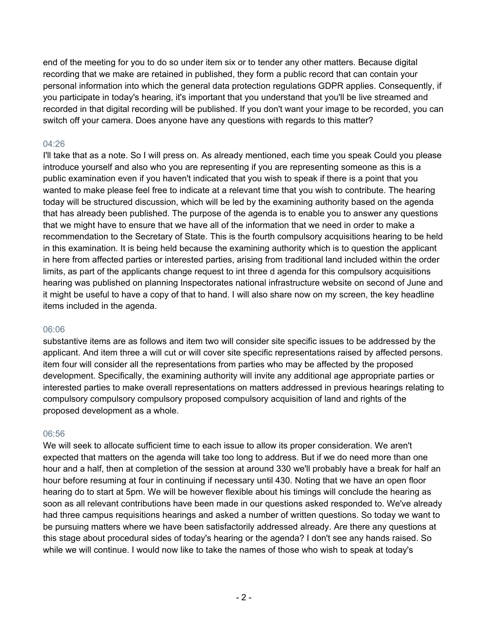end of the meeting for you to do so under item six or to tender any other matters. Because digital recording that we make are retained in published, they form a public record that can contain your personal information into which the general data protection regulations GDPR applies. Consequently, if you participate in today's hearing, it's important that you understand that you'll be live streamed and recorded in that digital recording will be published. If you don't want your image to be recorded, you can switch off your camera. Does anyone have any questions with regards to this matter?

# 04:26

I'll take that as a note. So I will press on. As already mentioned, each time you speak Could you please introduce yourself and also who you are representing if you are representing someone as this is a public examination even if you haven't indicated that you wish to speak if there is a point that you wanted to make please feel free to indicate at a relevant time that you wish to contribute. The hearing today will be structured discussion, which will be led by the examining authority based on the agenda that has already been published. The purpose of the agenda is to enable you to answer any questions that we might have to ensure that we have all of the information that we need in order to make a recommendation to the Secretary of State. This is the fourth compulsory acquisitions hearing to be held in this examination. It is being held because the examining authority which is to question the applicant in here from affected parties or interested parties, arising from traditional land included within the order limits, as part of the applicants change request to int three d agenda for this compulsory acquisitions hearing was published on planning Inspectorates national infrastructure website on second of June and it might be useful to have a copy of that to hand. I will also share now on my screen, the key headline items included in the agenda.

# 06:06

substantive items are as follows and item two will consider site specific issues to be addressed by the applicant. And item three a will cut or will cover site specific representations raised by affected persons. item four will consider all the representations from parties who may be affected by the proposed development. Specifically, the examining authority will invite any additional age appropriate parties or interested parties to make overall representations on matters addressed in previous hearings relating to compulsory compulsory compulsory proposed compulsory acquisition of land and rights of the proposed development as a whole.

# 06:56

We will seek to allocate sufficient time to each issue to allow its proper consideration. We aren't expected that matters on the agenda will take too long to address. But if we do need more than one hour and a half, then at completion of the session at around 330 we'll probably have a break for half an hour before resuming at four in continuing if necessary until 430. Noting that we have an open floor hearing do to start at 5pm. We will be however flexible about his timings will conclude the hearing as soon as all relevant contributions have been made in our questions asked responded to. We've already had three campus requisitions hearings and asked a number of written questions. So today we want to be pursuing matters where we have been satisfactorily addressed already. Are there any questions at this stage about procedural sides of today's hearing or the agenda? I don't see any hands raised. So while we will continue. I would now like to take the names of those who wish to speak at today's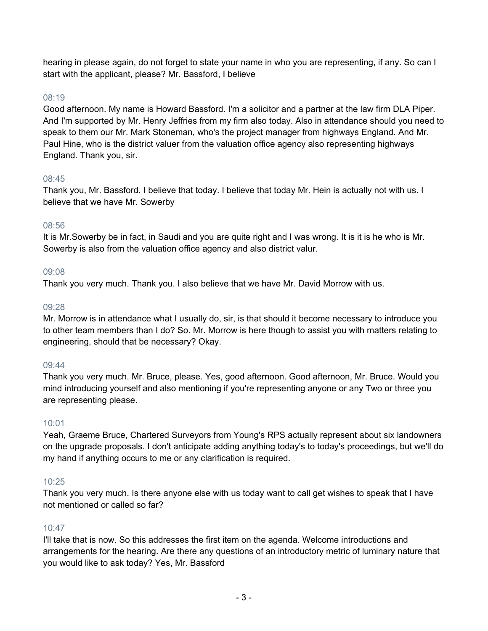hearing in please again, do not forget to state your name in who you are representing, if any. So can I start with the applicant, please? Mr. Bassford, I believe

## 08:19

Good afternoon. My name is Howard Bassford. I'm a solicitor and a partner at the law firm DLA Piper. And I'm supported by Mr. Henry Jeffries from my firm also today. Also in attendance should you need to speak to them our Mr. Mark Stoneman, who's the project manager from highways England. And Mr. Paul Hine, who is the district valuer from the valuation office agency also representing highways England. Thank you, sir.

#### 08:45

Thank you, Mr. Bassford. I believe that today. I believe that today Mr. Hein is actually not with us. I believe that we have Mr. Sowerby

#### 08:56

It is Mr.Sowerby be in fact, in Saudi and you are quite right and I was wrong. It is it is he who is Mr. Sowerby is also from the valuation office agency and also district valur.

#### 09:08

Thank you very much. Thank you. I also believe that we have Mr. David Morrow with us.

#### 09:28

Mr. Morrow is in attendance what I usually do, sir, is that should it become necessary to introduce you to other team members than I do? So. Mr. Morrow is here though to assist you with matters relating to engineering, should that be necessary? Okay.

#### 09:44

Thank you very much. Mr. Bruce, please. Yes, good afternoon. Good afternoon, Mr. Bruce. Would you mind introducing yourself and also mentioning if you're representing anyone or any Two or three you are representing please.

## 10:01

Yeah, Graeme Bruce, Chartered Surveyors from Young's RPS actually represent about six landowners on the upgrade proposals. I don't anticipate adding anything today's to today's proceedings, but we'll do my hand if anything occurs to me or any clarification is required.

## 10:25

Thank you very much. Is there anyone else with us today want to call get wishes to speak that I have not mentioned or called so far?

## $10:47$

I'll take that is now. So this addresses the first item on the agenda. Welcome introductions and arrangements for the hearing. Are there any questions of an introductory metric of luminary nature that you would like to ask today? Yes, Mr. Bassford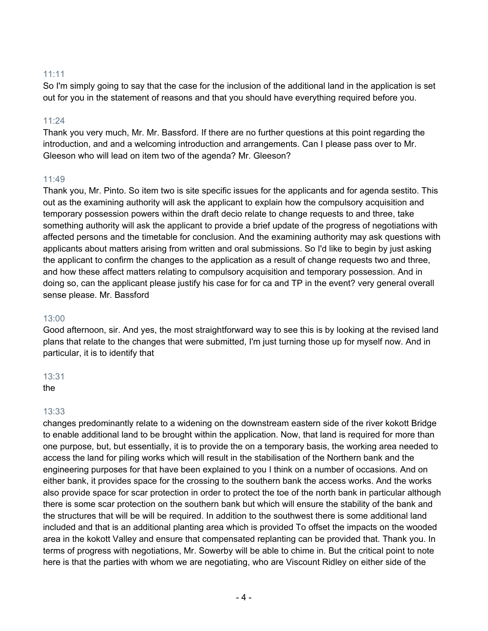## 11:11

So I'm simply going to say that the case for the inclusion of the additional land in the application is set out for you in the statement of reasons and that you should have everything required before you.

#### 11:24

Thank you very much, Mr. Mr. Bassford. If there are no further questions at this point regarding the introduction, and and a welcoming introduction and arrangements. Can I please pass over to Mr. Gleeson who will lead on item two of the agenda? Mr. Gleeson?

## 11:49

Thank you, Mr. Pinto. So item two is site specific issues for the applicants and for agenda sestito. This out as the examining authority will ask the applicant to explain how the compulsory acquisition and temporary possession powers within the draft decio relate to change requests to and three, take something authority will ask the applicant to provide a brief update of the progress of negotiations with affected persons and the timetable for conclusion. And the examining authority may ask questions with applicants about matters arising from written and oral submissions. So I'd like to begin by just asking the applicant to confirm the changes to the application as a result of change requests two and three, and how these affect matters relating to compulsory acquisition and temporary possession. And in doing so, can the applicant please justify his case for for ca and TP in the event? very general overall sense please. Mr. Bassford

#### 13:00

Good afternoon, sir. And yes, the most straightforward way to see this is by looking at the revised land plans that relate to the changes that were submitted, I'm just turning those up for myself now. And in particular, it is to identify that

#### 13:31

the

## 13:33

changes predominantly relate to a widening on the downstream eastern side of the river kokott Bridge to enable additional land to be brought within the application. Now, that land is required for more than one purpose, but, but essentially, it is to provide the on a temporary basis, the working area needed to access the land for piling works which will result in the stabilisation of the Northern bank and the engineering purposes for that have been explained to you I think on a number of occasions. And on either bank, it provides space for the crossing to the southern bank the access works. And the works also provide space for scar protection in order to protect the toe of the north bank in particular although there is some scar protection on the southern bank but which will ensure the stability of the bank and the structures that will be will be required. In addition to the southwest there is some additional land included and that is an additional planting area which is provided To offset the impacts on the wooded area in the kokott Valley and ensure that compensated replanting can be provided that. Thank you. In terms of progress with negotiations, Mr. Sowerby will be able to chime in. But the critical point to note here is that the parties with whom we are negotiating, who are Viscount Ridley on either side of the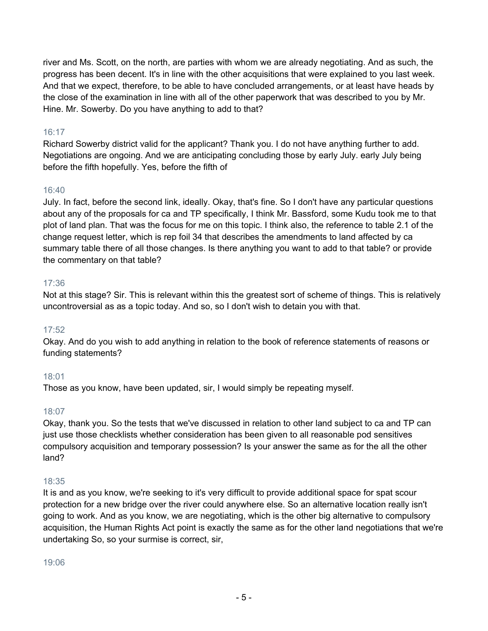river and Ms. Scott, on the north, are parties with whom we are already negotiating. And as such, the progress has been decent. It's in line with the other acquisitions that were explained to you last week. And that we expect, therefore, to be able to have concluded arrangements, or at least have heads by the close of the examination in line with all of the other paperwork that was described to you by Mr. Hine. Mr. Sowerby. Do you have anything to add to that?

# 16:17

Richard Sowerby district valid for the applicant? Thank you. I do not have anything further to add. Negotiations are ongoing. And we are anticipating concluding those by early July. early July being before the fifth hopefully. Yes, before the fifth of

# 16:40

July. In fact, before the second link, ideally. Okay, that's fine. So I don't have any particular questions about any of the proposals for ca and TP specifically, I think Mr. Bassford, some Kudu took me to that plot of land plan. That was the focus for me on this topic. I think also, the reference to table 2.1 of the change request letter, which is rep foil 34 that describes the amendments to land affected by ca summary table there of all those changes. Is there anything you want to add to that table? or provide the commentary on that table?

## 17:36

Not at this stage? Sir. This is relevant within this the greatest sort of scheme of things. This is relatively uncontroversial as as a topic today. And so, so I don't wish to detain you with that.

# 17:52

Okay. And do you wish to add anything in relation to the book of reference statements of reasons or funding statements?

# 18:01

Those as you know, have been updated, sir, I would simply be repeating myself.

## 18:07

Okay, thank you. So the tests that we've discussed in relation to other land subject to ca and TP can just use those checklists whether consideration has been given to all reasonable pod sensitives compulsory acquisition and temporary possession? Is your answer the same as for the all the other land?

# 18:35

It is and as you know, we're seeking to it's very difficult to provide additional space for spat scour protection for a new bridge over the river could anywhere else. So an alternative location really isn't going to work. And as you know, we are negotiating, which is the other big alternative to compulsory acquisition, the Human Rights Act point is exactly the same as for the other land negotiations that we're undertaking So, so your surmise is correct, sir,

## 19:06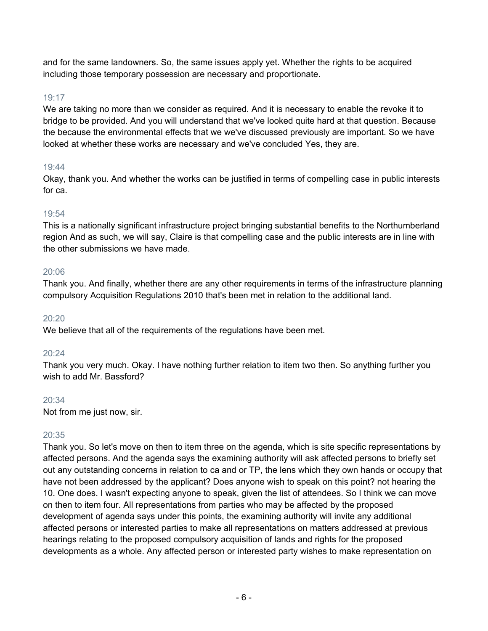and for the same landowners. So, the same issues apply yet. Whether the rights to be acquired including those temporary possession are necessary and proportionate.

# 19:17

We are taking no more than we consider as required. And it is necessary to enable the revoke it to bridge to be provided. And you will understand that we've looked quite hard at that question. Because the because the environmental effects that we we've discussed previously are important. So we have looked at whether these works are necessary and we've concluded Yes, they are.

# 19:44

Okay, thank you. And whether the works can be justified in terms of compelling case in public interests for ca.

# 19:54

This is a nationally significant infrastructure project bringing substantial benefits to the Northumberland region And as such, we will say, Claire is that compelling case and the public interests are in line with the other submissions we have made.

# 20:06

Thank you. And finally, whether there are any other requirements in terms of the infrastructure planning compulsory Acquisition Regulations 2010 that's been met in relation to the additional land.

# $20.20$

We believe that all of the requirements of the regulations have been met.

# 20:24

Thank you very much. Okay. I have nothing further relation to item two then. So anything further you wish to add Mr. Bassford?

# 20:34

Not from me just now, sir.

# 20:35

Thank you. So let's move on then to item three on the agenda, which is site specific representations by affected persons. And the agenda says the examining authority will ask affected persons to briefly set out any outstanding concerns in relation to ca and or TP, the lens which they own hands or occupy that have not been addressed by the applicant? Does anyone wish to speak on this point? not hearing the 10. One does. I wasn't expecting anyone to speak, given the list of attendees. So I think we can move on then to item four. All representations from parties who may be affected by the proposed development of agenda says under this points, the examining authority will invite any additional affected persons or interested parties to make all representations on matters addressed at previous hearings relating to the proposed compulsory acquisition of lands and rights for the proposed developments as a whole. Any affected person or interested party wishes to make representation on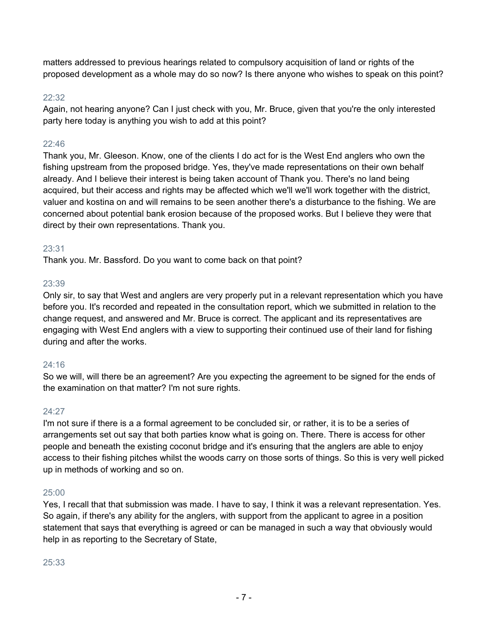matters addressed to previous hearings related to compulsory acquisition of land or rights of the proposed development as a whole may do so now? Is there anyone who wishes to speak on this point?

## 22:32

Again, not hearing anyone? Can I just check with you, Mr. Bruce, given that you're the only interested party here today is anything you wish to add at this point?

# $22.46$

Thank you, Mr. Gleeson. Know, one of the clients I do act for is the West End anglers who own the fishing upstream from the proposed bridge. Yes, they've made representations on their own behalf already. And I believe their interest is being taken account of Thank you. There's no land being acquired, but their access and rights may be affected which we'll we'll work together with the district, valuer and kostina on and will remains to be seen another there's a disturbance to the fishing. We are concerned about potential bank erosion because of the proposed works. But I believe they were that direct by their own representations. Thank you.

## 23:31

Thank you. Mr. Bassford. Do you want to come back on that point?

# 23:39

Only sir, to say that West and anglers are very properly put in a relevant representation which you have before you. It's recorded and repeated in the consultation report, which we submitted in relation to the change request, and answered and Mr. Bruce is correct. The applicant and its representatives are engaging with West End anglers with a view to supporting their continued use of their land for fishing during and after the works.

# 24:16

So we will, will there be an agreement? Are you expecting the agreement to be signed for the ends of the examination on that matter? I'm not sure rights.

# 24:27

I'm not sure if there is a a formal agreement to be concluded sir, or rather, it is to be a series of arrangements set out say that both parties know what is going on. There. There is access for other people and beneath the existing coconut bridge and it's ensuring that the anglers are able to enjoy access to their fishing pitches whilst the woods carry on those sorts of things. So this is very well picked up in methods of working and so on.

# 25:00

Yes, I recall that that submission was made. I have to say, I think it was a relevant representation. Yes. So again, if there's any ability for the anglers, with support from the applicant to agree in a position statement that says that everything is agreed or can be managed in such a way that obviously would help in as reporting to the Secretary of State,

## 25:33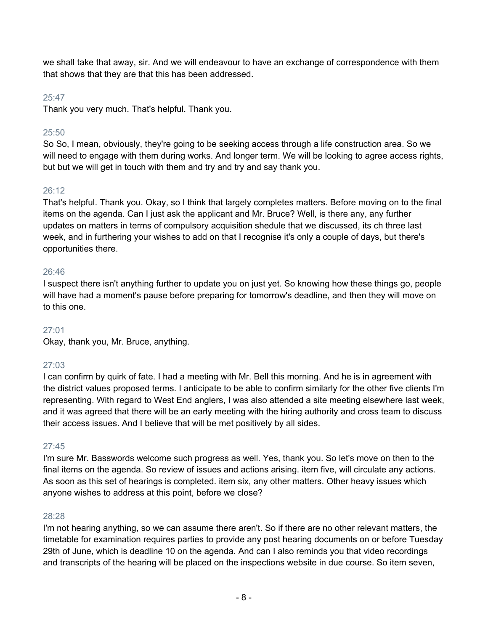we shall take that away, sir. And we will endeavour to have an exchange of correspondence with them that shows that they are that this has been addressed.

## 25:47

Thank you very much. That's helpful. Thank you.

## 25:50

So So, I mean, obviously, they're going to be seeking access through a life construction area. So we will need to engage with them during works. And longer term. We will be looking to agree access rights, but but we will get in touch with them and try and try and say thank you.

## 26:12

That's helpful. Thank you. Okay, so I think that largely completes matters. Before moving on to the final items on the agenda. Can I just ask the applicant and Mr. Bruce? Well, is there any, any further updates on matters in terms of compulsory acquisition shedule that we discussed, its ch three last week, and in furthering your wishes to add on that I recognise it's only a couple of days, but there's opportunities there.

## 26:46

I suspect there isn't anything further to update you on just yet. So knowing how these things go, people will have had a moment's pause before preparing for tomorrow's deadline, and then they will move on to this one.

## 27:01

Okay, thank you, Mr. Bruce, anything.

# 27:03

I can confirm by quirk of fate. I had a meeting with Mr. Bell this morning. And he is in agreement with the district values proposed terms. I anticipate to be able to confirm similarly for the other five clients I'm representing. With regard to West End anglers, I was also attended a site meeting elsewhere last week, and it was agreed that there will be an early meeting with the hiring authority and cross team to discuss their access issues. And I believe that will be met positively by all sides.

# 27:45

I'm sure Mr. Basswords welcome such progress as well. Yes, thank you. So let's move on then to the final items on the agenda. So review of issues and actions arising. item five, will circulate any actions. As soon as this set of hearings is completed. item six, any other matters. Other heavy issues which anyone wishes to address at this point, before we close?

## 28:28

I'm not hearing anything, so we can assume there aren't. So if there are no other relevant matters, the timetable for examination requires parties to provide any post hearing documents on or before Tuesday 29th of June, which is deadline 10 on the agenda. And can I also reminds you that video recordings and transcripts of the hearing will be placed on the inspections website in due course. So item seven,